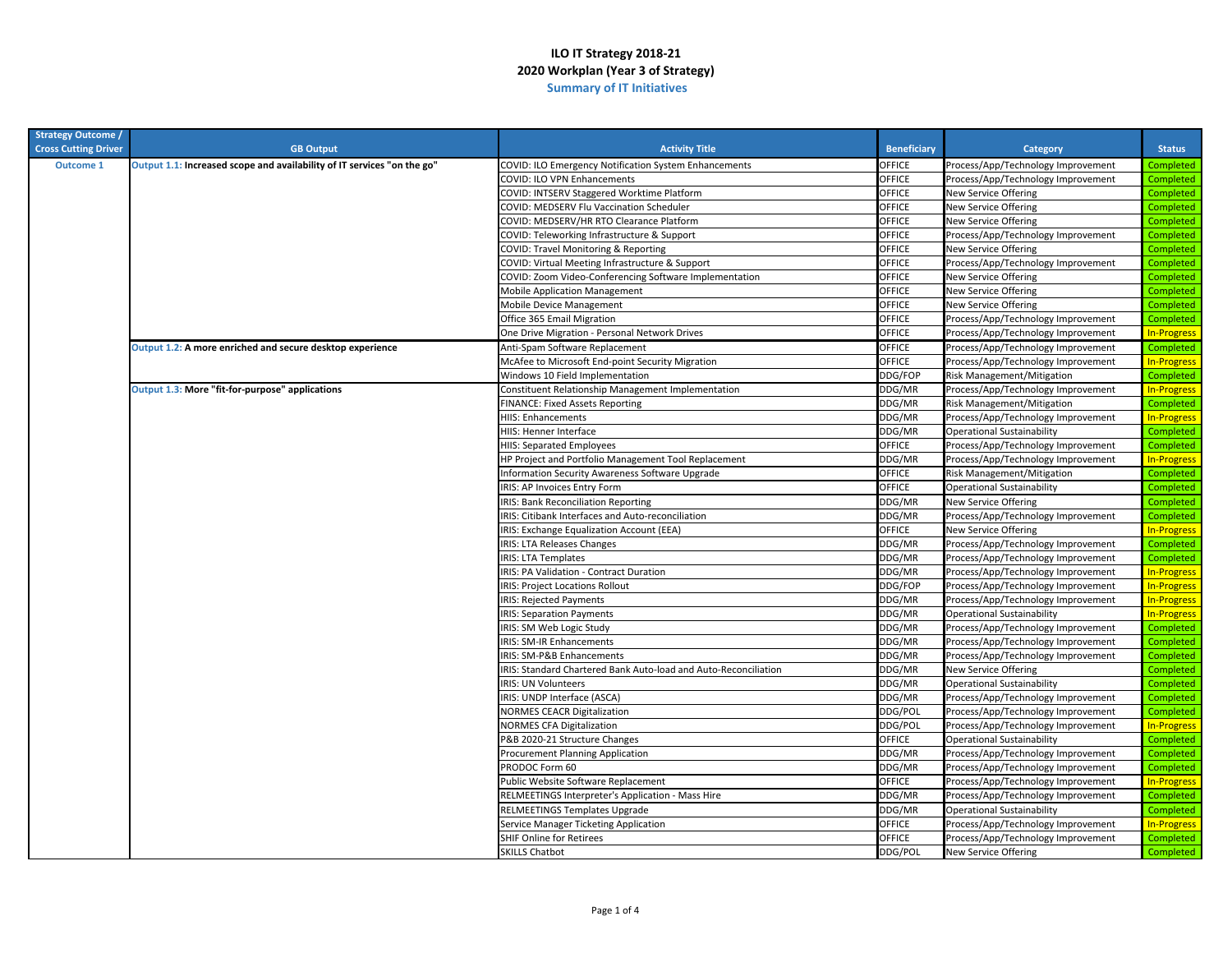| <b>Strategy Outcome /</b>   |                                                                         |                                                                 |                    |                                    |                    |
|-----------------------------|-------------------------------------------------------------------------|-----------------------------------------------------------------|--------------------|------------------------------------|--------------------|
| <b>Cross Cutting Driver</b> | <b>GB Output</b>                                                        | <b>Activity Title</b>                                           | <b>Beneficiary</b> | Category                           | <b>Status</b>      |
| <b>Outcome 1</b>            | Output 1.1: Increased scope and availability of IT services "on the go" | COVID: ILO Emergency Notification System Enhancements           | OFFICE             | Process/App/Technology Improvement | Completed          |
|                             |                                                                         | COVID: ILO VPN Enhancements                                     | OFFICE             | Process/App/Technology Improvement | Completed          |
|                             |                                                                         | COVID: INTSERV Staggered Worktime Platform                      | OFFICE             | New Service Offering               | Completed          |
|                             |                                                                         | COVID: MEDSERV Flu Vaccination Scheduler                        | OFFICE             | New Service Offering               | Completed          |
|                             |                                                                         | COVID: MEDSERV/HR RTO Clearance Platform                        | OFFICE             | New Service Offering               | Completed          |
|                             |                                                                         | COVID: Teleworking Infrastructure & Support                     | OFFICE             | Process/App/Technology Improvement | Completed          |
|                             |                                                                         | COVID: Travel Monitoring & Reporting                            | OFFICE             | New Service Offering               | Completed          |
|                             |                                                                         | COVID: Virtual Meeting Infrastructure & Support                 | OFFICE             | Process/App/Technology Improvement | Completed          |
|                             |                                                                         | COVID: Zoom Video-Conferencing Software Implementation          | OFFICE             | New Service Offering               | Completed          |
|                             |                                                                         | <b>Mobile Application Management</b>                            | OFFICE             | New Service Offering               | Completed          |
|                             |                                                                         | Mobile Device Management                                        | OFFICE             | New Service Offering               | Completed          |
|                             |                                                                         | Office 365 Email Migration                                      | OFFICE             | Process/App/Technology Improvement | Completed          |
|                             |                                                                         | One Drive Migration - Personal Network Drives                   | <b>OFFICE</b>      | Process/App/Technology Improvement | <b>In-Progress</b> |
|                             | Output 1.2: A more enriched and secure desktop experience               | Anti-Spam Software Replacement                                  | OFFICE             | Process/App/Technology Improvement | Completed          |
|                             |                                                                         | McAfee to Microsoft End-point Security Migration                | OFFICE             | Process/App/Technology Improvement | <b>In-Progress</b> |
|                             |                                                                         | Windows 10 Field Implementation                                 | DDG/FOP            | Risk Management/Mitigation         | Completed          |
|                             | Output 1.3: More "fit-for-purpose" applications                         | Constituent Relationship Management Implementation              | DDG/MR             | Process/App/Technology Improvement | <b>In-Progress</b> |
|                             |                                                                         | FINANCE: Fixed Assets Reporting                                 | DDG/MR             | Risk Management/Mitigation         | Completed          |
|                             |                                                                         | <b>HIIS: Enhancements</b>                                       | DDG/MR             | Process/App/Technology Improvement | <b>In-Progress</b> |
|                             |                                                                         | HIIS: Henner Interface                                          | DDG/MR             | Operational Sustainability         | Completed          |
|                             |                                                                         | <b>HIIS: Separated Employees</b>                                | OFFICE             | Process/App/Technology Improvement | Completed          |
|                             |                                                                         | HP Project and Portfolio Management Tool Replacement            | DDG/MR             | Process/App/Technology Improvement | <b>In-Progress</b> |
|                             |                                                                         | Information Security Awareness Software Upgrade                 | OFFICE             | Risk Management/Mitigation         | Completed          |
|                             |                                                                         | IRIS: AP Invoices Entry Form                                    | OFFICE             | Operational Sustainability         | Completed          |
|                             |                                                                         | <b>IRIS: Bank Reconciliation Reporting</b>                      | DDG/MR             | New Service Offering               | Completed          |
|                             |                                                                         | IRIS: Citibank Interfaces and Auto-reconciliation               | DDG/MR             | Process/App/Technology Improvement | Completed          |
|                             |                                                                         | IRIS: Exchange Equalization Account (EEA)                       | OFFICE             | New Service Offering               | <b>In-Progress</b> |
|                             |                                                                         | <b>IRIS: LTA Releases Changes</b>                               | DDG/MR             | Process/App/Technology Improvement | Completed          |
|                             |                                                                         | <b>IRIS: LTA Templates</b>                                      | DDG/MR             | Process/App/Technology Improvement | Completed          |
|                             |                                                                         | IRIS: PA Validation - Contract Duration                         | DDG/MR             | Process/App/Technology Improvement | <b>In-Progress</b> |
|                             |                                                                         | <b>IRIS: Project Locations Rollout</b>                          | DDG/FOP            | Process/App/Technology Improvement | <b>In-Progress</b> |
|                             |                                                                         | IRIS: Rejected Payments                                         | DDG/MR             | Process/App/Technology Improvement | <b>In-Progress</b> |
|                             |                                                                         | <b>IRIS: Separation Payments</b>                                | DDG/MR             | Operational Sustainability         | <b>In-Progress</b> |
|                             |                                                                         | IRIS: SM Web Logic Study                                        | DDG/MR             | Process/App/Technology Improvement | Completed          |
|                             |                                                                         | <b>IRIS: SM-IR Enhancements</b>                                 | DDG/MR             | Process/App/Technology Improvement | Completed          |
|                             |                                                                         | IRIS: SM-P&B Enhancements                                       | DDG/MR             | Process/App/Technology Improvement | Completed          |
|                             |                                                                         | IRIS: Standard Chartered Bank Auto-load and Auto-Reconciliation | DDG/MR             | New Service Offering               | Completed          |
|                             |                                                                         | IRIS: UN Volunteers                                             | DDG/MR             | Operational Sustainability         | Completed          |
|                             |                                                                         | IRIS: UNDP Interface (ASCA)                                     | DDG/MR             | Process/App/Technology Improvement | Completed          |
|                             |                                                                         | <b>NORMES CEACR Digitalization</b>                              | DDG/POL            | Process/App/Technology Improvement | Completed          |
|                             |                                                                         | <b>NORMES CFA Digitalization</b>                                | DDG/POL            | Process/App/Technology Improvement | <b>In-Progress</b> |
|                             |                                                                         | P&B 2020-21 Structure Changes                                   | OFFICE             | Operational Sustainability         | Completed          |
|                             |                                                                         | Procurement Planning Application                                | DDG/MR             | Process/App/Technology Improvement | Completed          |
|                             |                                                                         | PRODOC Form 60                                                  | DDG/MR             | Process/App/Technology Improvement | Completed          |
|                             |                                                                         | Public Website Software Replacement                             | OFFICE             | Process/App/Technology Improvement | <b>In-Progress</b> |
|                             |                                                                         | RELMEETINGS Interpreter's Application - Mass Hire               | DDG/MR             | Process/App/Technology Improvement | Completed          |
|                             |                                                                         | RELMEETINGS Templates Upgrade                                   | DDG/MR             | Operational Sustainability         | Completed          |
|                             |                                                                         | Service Manager Ticketing Application                           | OFFICE             | Process/App/Technology Improvement | <b>In-Progress</b> |
|                             |                                                                         | <b>SHIF Online for Retirees</b>                                 | OFFICE             | Process/App/Technology Improvement | Completed          |
|                             |                                                                         | <b>SKILLS Chatbot</b>                                           | DDG/POL            | New Service Offering               | Completed          |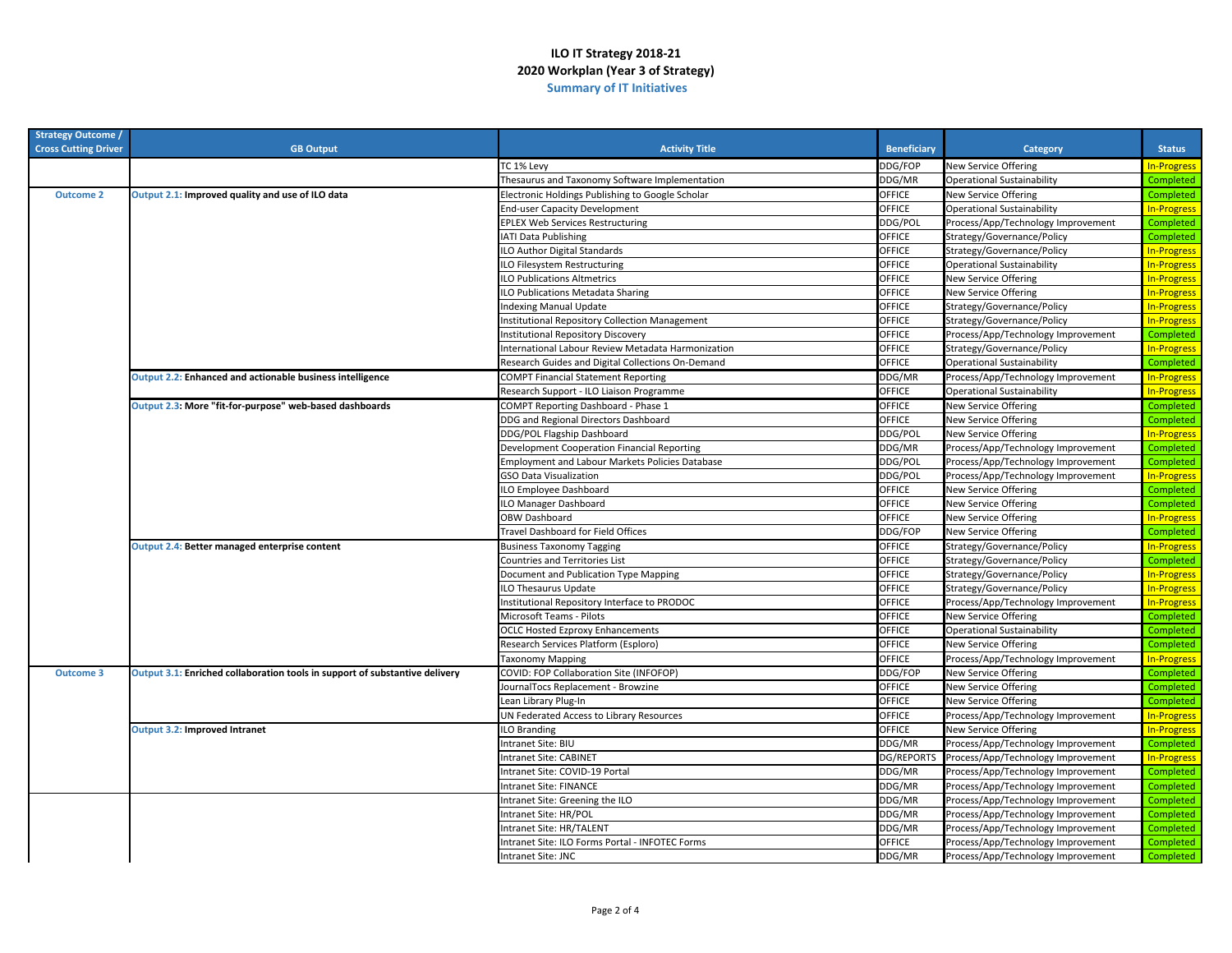| <b>Strategy Outcome</b>     |                                                                             |                                                        |                    |                                    |                    |
|-----------------------------|-----------------------------------------------------------------------------|--------------------------------------------------------|--------------------|------------------------------------|--------------------|
| <b>Cross Cutting Driver</b> | <b>GB Output</b>                                                            | <b>Activity Title</b>                                  | <b>Beneficiary</b> | <b>Category</b>                    | <b>Status</b>      |
|                             |                                                                             | TC 1% Levy                                             | DDG/FOP            | <b>New Service Offering</b>        | <b>In-Progress</b> |
|                             |                                                                             | Thesaurus and Taxonomy Software Implementation         | DDG/MR             | <b>Operational Sustainability</b>  | Completed          |
| <b>Outcome 2</b>            | Output 2.1: Improved quality and use of ILO data                            | Electronic Holdings Publishing to Google Scholar       | OFFICE             | New Service Offering               | Completed          |
|                             |                                                                             | <b>End-user Capacity Development</b>                   | OFFICE             | Operational Sustainability         | In-Progress        |
|                             |                                                                             | EPLEX Web Services Restructuring                       | DDG/POL            | Process/App/Technology Improvement | Completed          |
|                             |                                                                             | <b>ATI Data Publishing</b>                             | OFFICE             | Strategy/Governance/Policy         | Completed          |
|                             |                                                                             | <b>LO Author Digital Standards</b>                     | OFFICE             | Strategy/Governance/Policy         | In-Progress        |
|                             |                                                                             | ILO Filesystem Restructuring                           | OFFICE             | <b>Operational Sustainability</b>  | <b>In-Progress</b> |
|                             |                                                                             | <b>ILO Publications Altmetrics</b>                     | OFFICE             | <b>New Service Offering</b>        | <b>In-Progress</b> |
|                             |                                                                             | <b>LO Publications Metadata Sharing</b>                | OFFICE             | <b>New Service Offering</b>        | <b>In-Progress</b> |
|                             |                                                                             | ndexing Manual Update                                  | OFFICE             | Strategy/Governance/Policy         | In-Progress        |
|                             |                                                                             | nstitutional Repository Collection Management          | OFFICE             | Strategy/Governance/Policy         | <b>In-Progress</b> |
|                             |                                                                             | nstitutional Repository Discovery                      | OFFICE             | Process/App/Technology Improvement | Completed          |
|                             |                                                                             | International Labour Review Metadata Harmonization     | OFFICE             | Strategy/Governance/Policy         | <b>In-Progress</b> |
|                             |                                                                             | Research Guides and Digital Collections On-Demand      | OFFICE             | <b>Operational Sustainability</b>  | Completed          |
|                             | Output 2.2: Enhanced and actionable business intelligence                   | <b>COMPT Financial Statement Reporting</b>             | DDG/MR             | Process/App/Technology Improvement | <b>In-Progress</b> |
|                             |                                                                             | Research Support - ILO Liaison Programme               | OFFICE             | <b>Operational Sustainability</b>  | <b>In-Progress</b> |
|                             | Output 2.3: More "fit-for-purpose" web-based dashboards                     | COMPT Reporting Dashboard - Phase 1                    | OFFICE             | <b>New Service Offering</b>        | Completed          |
|                             |                                                                             | DDG and Regional Directors Dashboard                   | OFFICE             | New Service Offering               | Completed          |
|                             |                                                                             | DDG/POL Flagship Dashboard                             | DDG/POL            | New Service Offering               | <b>In-Progress</b> |
|                             |                                                                             | Development Cooperation Financial Reporting            | DDG/MR             | Process/App/Technology Improvement | Completed          |
|                             |                                                                             | <b>Employment and Labour Markets Policies Database</b> | DDG/POL            | Process/App/Technology Improvement | Completed          |
|                             |                                                                             | <b>GSO Data Visualization</b>                          | DDG/POL            | Process/App/Technology Improvement | <b>In-Progress</b> |
|                             |                                                                             | LO Employee Dashboard                                  | OFFICE             | New Service Offering               | Completed          |
|                             |                                                                             | LO Manager Dashboard                                   | OFFICE             | New Service Offering               | Completed          |
|                             |                                                                             | <b>OBW Dashboard</b>                                   | OFFICE             | New Service Offering               | <b>In-Progress</b> |
|                             |                                                                             | Fravel Dashboard for Field Offices                     | DDG/FOP            | New Service Offering               | Completed          |
|                             | Output 2.4: Better managed enterprise content                               | <b>Business Taxonomy Tagging</b>                       | OFFICE             | Strategy/Governance/Policy         | <b>In-Progress</b> |
|                             |                                                                             | Countries and Territories List                         | OFFICE             | Strategy/Governance/Policy         | Completed          |
|                             |                                                                             | Document and Publication Type Mapping                  | OFFICE             | Strategy/Governance/Policy         | <b>In-Progress</b> |
|                             |                                                                             | ILO Thesaurus Update                                   | OFFICE             | Strategy/Governance/Policy         | <b>In-Progress</b> |
|                             |                                                                             | Institutional Repository Interface to PRODOC           | OFFICE             | Process/App/Technology Improvement | In-Progress        |
|                             |                                                                             | Microsoft Teams - Pilots                               | OFFICE             | New Service Offering               | Completed          |
|                             |                                                                             | <b>OCLC Hosted Ezproxy Enhancements</b>                | OFFICE             | <b>Operational Sustainability</b>  | Completed          |
|                             |                                                                             | Research Services Platform (Esploro)                   | OFFICE             | <b>New Service Offering</b>        | Completed          |
|                             |                                                                             | <b>Taxonomy Mapping</b>                                | OFFICE             | Process/App/Technology Improvement | <b>In-Progress</b> |
| <b>Outcome 3</b>            | Output 3.1: Enriched collaboration tools in support of substantive delivery | COVID: FOP Collaboration Site (INFOFOP)                | DDG/FOP            | <b>New Service Offering</b>        | Completed          |
|                             |                                                                             | IournalTocs Replacement - Browzine                     | OFFICE             | New Service Offering               | Completed          |
|                             |                                                                             | Lean Library Plug-In                                   | OFFICE             | <b>New Service Offering</b>        | Completed          |
|                             |                                                                             | UN Federated Access to Library Resources               | OFFICE             | Process/App/Technology Improvement | <b>In-Progress</b> |
|                             | Output 3.2: Improved Intranet                                               | LO Branding                                            | OFFICE             | New Service Offering               | In-Progress        |
|                             |                                                                             | Intranet Site: BIU                                     | DDG/MR             | Process/App/Technology Improvement | Completed          |
|                             |                                                                             | ntranet Site: CABINET                                  | <b>DG/REPORTS</b>  | Process/App/Technology Improvement | In-Progress        |
|                             |                                                                             | Intranet Site: COVID-19 Portal                         | DDG/MR             | Process/App/Technology Improvement | Completed          |
|                             |                                                                             | Intranet Site: FINANCE                                 | DDG/MR             | Process/App/Technology Improvement | Completed          |
|                             |                                                                             | Intranet Site: Greening the ILO                        | DDG/MR             | Process/App/Technology Improvement | Completed          |
|                             |                                                                             | Intranet Site: HR/POL                                  | DDG/MR             | Process/App/Technology Improvement | Completed          |
|                             |                                                                             | ntranet Site: HR/TALENT                                | DDG/MR             | Process/App/Technology Improvement | Completed          |
|                             |                                                                             | ntranet Site: ILO Forms Portal - INFOTEC Forms         | OFFICE             | Process/App/Technology Improvement | Completed          |
|                             |                                                                             | Intranet Site: JNC                                     | DDG/MR             | Process/App/Technology Improvement | Completed          |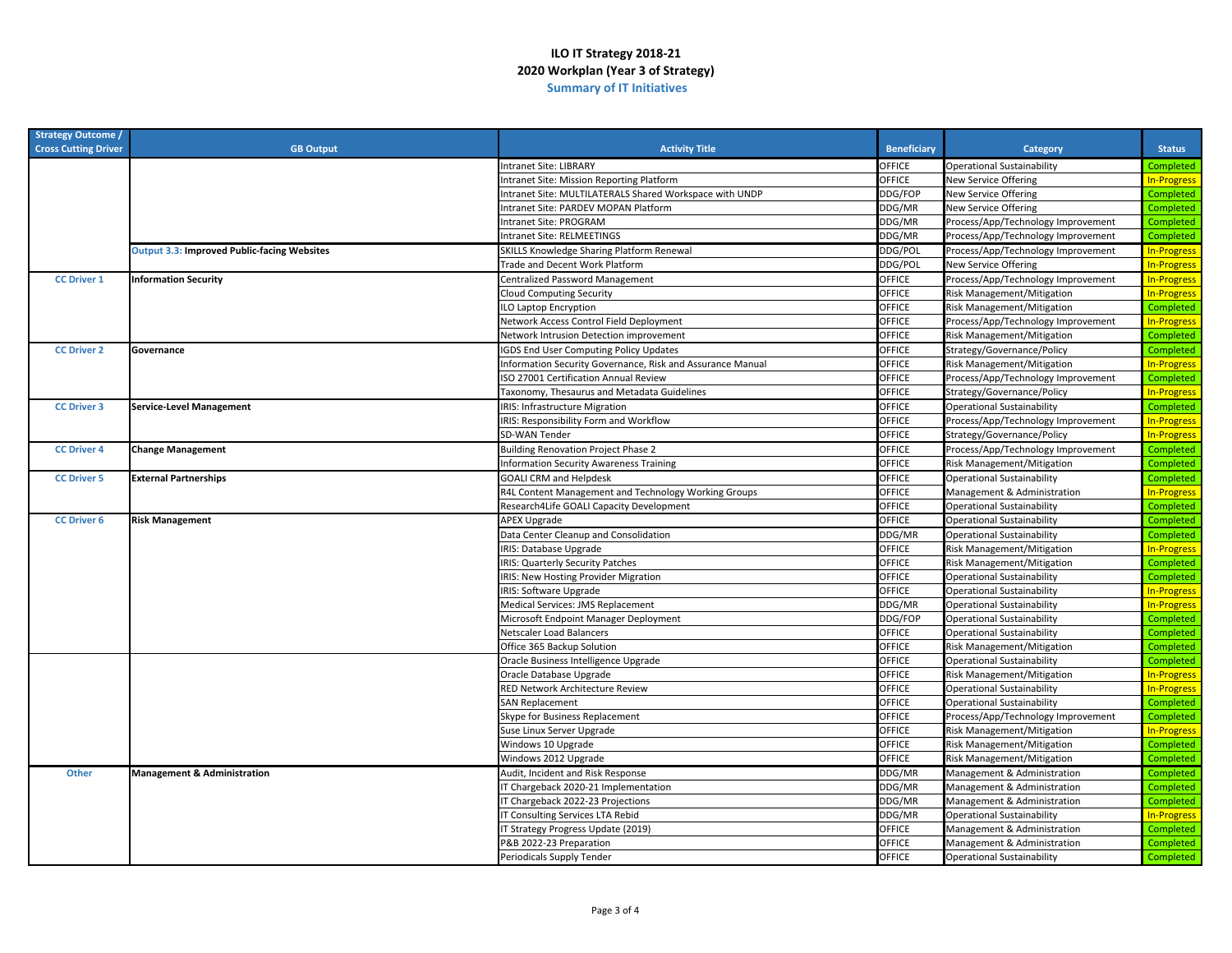| <b>Strategy Outcome</b><br><b>Cross Cutting Driver</b> | <b>GB Output</b>                                   | <b>Activity Title</b>                                      | <b>Beneficiary</b> | <b>Category</b>                    | <b>Status</b>      |
|--------------------------------------------------------|----------------------------------------------------|------------------------------------------------------------|--------------------|------------------------------------|--------------------|
|                                                        |                                                    | <b>Intranet Site: LIBRARY</b>                              | OFFICE             | Operational Sustainability         | Completed          |
|                                                        |                                                    | Intranet Site: Mission Reporting Platform                  | OFFICE             | New Service Offering               | <b>In-Progress</b> |
|                                                        |                                                    | Intranet Site: MULTILATERALS Shared Workspace with UNDP    | DDG/FOP            | New Service Offering               | Completed          |
|                                                        |                                                    | Intranet Site: PARDEV MOPAN Platform                       | DDG/MR             | New Service Offering               | Completed          |
|                                                        |                                                    | Intranet Site: PROGRAM                                     | DDG/MR             | Process/App/Technology Improvement | Completed          |
|                                                        |                                                    | Intranet Site: RELMEETINGS                                 | DDG/MR             | Process/App/Technology Improvement | Completed          |
|                                                        | <b>Output 3.3: Improved Public-facing Websites</b> | SKILLS Knowledge Sharing Platform Renewal                  | DDG/POI            | Process/App/Technology Improvement | <b>In-Progress</b> |
|                                                        |                                                    | Trade and Decent Work Platform                             | DDG/POL            | New Service Offering               | <b>In-Progress</b> |
| <b>CC Driver 1</b>                                     | <b>Information Security</b>                        | Centralized Password Management                            | OFFICE             | Process/App/Technology Improvement | <b>In-Progress</b> |
|                                                        |                                                    | <b>Cloud Computing Security</b>                            | OFFICE             | Risk Management/Mitigation         | <b>In-Progress</b> |
|                                                        |                                                    | LO Laptop Encryption                                       | OFFICE             | Risk Management/Mitigation         | Completed          |
|                                                        |                                                    | Network Access Control Field Deployment                    | OFFICE             | Process/App/Technology Improvement | <b>In-Progress</b> |
|                                                        |                                                    | Network Intrusion Detection improvement                    | OFFICE             | Risk Management/Mitigation         | Completed          |
| <b>CC Driver 2</b>                                     | Governance                                         | <b>IGDS End User Computing Policy Updates</b>              | OFFICE             | Strategy/Governance/Policy         | Completed          |
|                                                        |                                                    | Information Security Governance, Risk and Assurance Manual | OFFICE             | Risk Management/Mitigation         | <b>In-Progress</b> |
|                                                        |                                                    | ISO 27001 Certification Annual Review                      | OFFICE             | Process/App/Technology Improvement | Completed          |
|                                                        |                                                    | Taxonomy, Thesaurus and Metadata Guidelines                | OFFICE             | Strategy/Governance/Policy         | <b>In-Progress</b> |
| <b>CC Driver 3</b>                                     | <b>Service-Level Management</b>                    | <b>IRIS: Infrastructure Migration</b>                      | OFFICE             | <b>Operational Sustainability</b>  | Completed          |
|                                                        |                                                    | IRIS: Responsibility Form and Workflow                     | OFFICE             | Process/App/Technology Improvement | <b>In-Progress</b> |
|                                                        |                                                    | SD-WAN Tender                                              | <b>OFFICE</b>      | Strategy/Governance/Policy         | <b>In-Progress</b> |
| <b>CC Driver 4</b>                                     | <b>Change Management</b>                           | <b>Building Renovation Project Phase 2</b>                 | <b>OFFICE</b>      | Process/App/Technology Improvement | Completed          |
|                                                        |                                                    | nformation Security Awareness Training                     | OFFICE             | Risk Management/Mitigation         | Completed          |
| <b>CC Driver 5</b>                                     | <b>External Partnerships</b>                       | <b>GOALI CRM and Helpdesk</b>                              | <b>OFFICE</b>      | <b>Operational Sustainability</b>  | Completed          |
|                                                        |                                                    | R4L Content Management and Technology Working Groups       | OFFICE             | Management & Administration        | <b>In-Progress</b> |
|                                                        |                                                    | Research4Life GOALI Capacity Development                   | OFFICE             | <b>Operational Sustainability</b>  | Completed          |
| <b>CC Driver 6</b>                                     | <b>Risk Management</b>                             | <b>APEX Upgrade</b>                                        | <b>OFFICE</b>      | <b>Operational Sustainability</b>  | Completed          |
|                                                        |                                                    | Data Center Cleanup and Consolidation                      | DDG/MR             | <b>Operational Sustainability</b>  | Completed          |
|                                                        |                                                    | IRIS: Database Upgrade                                     | OFFICE             | Risk Management/Mitigation         | <b>In-Progress</b> |
|                                                        |                                                    | <b>IRIS: Quarterly Security Patches</b>                    | <b>OFFICE</b>      | Risk Management/Mitigation         | Completed          |
|                                                        |                                                    | <b>IRIS: New Hosting Provider Migration</b>                | OFFICE             | <b>Operational Sustainability</b>  | Completed          |
|                                                        |                                                    | <b>IRIS: Software Upgrade</b>                              | OFFICE             | Operational Sustainability         | <b>In-Progress</b> |
|                                                        |                                                    | Medical Services: JMS Replacement                          | DDG/MR             | <b>Operational Sustainability</b>  | <b>In-Progress</b> |
|                                                        |                                                    | Microsoft Endpoint Manager Deployment                      | DDG/FOP            | <b>Operational Sustainability</b>  | Completed          |
|                                                        |                                                    | Netscaler Load Balancers                                   | OFFICE             | <b>Operational Sustainability</b>  | Completed          |
|                                                        |                                                    | Office 365 Backup Solution                                 | OFFICE             | Risk Management/Mitigation         | Completed          |
|                                                        |                                                    | Oracle Business Intelligence Upgrade                       | OFFICE             | <b>Operational Sustainability</b>  | Completed          |
|                                                        |                                                    | Oracle Database Upgrade                                    | OFFICE             | Risk Management/Mitigation         | <b>In-Progress</b> |
|                                                        |                                                    | RED Network Architecture Review                            | OFFICE             | <b>Operational Sustainability</b>  | <b>In-Progress</b> |
|                                                        |                                                    | <b>SAN Replacement</b>                                     | OFFICE             | <b>Operational Sustainability</b>  | Completed          |
|                                                        |                                                    | Skype for Business Replacement                             | OFFICE             | Process/App/Technology Improvement | Completed          |
|                                                        |                                                    | Suse Linux Server Upgrade                                  | OFFICE             | Risk Management/Mitigation         | <b>In-Progress</b> |
|                                                        |                                                    | Windows 10 Upgrade                                         | <b>OFFICE</b>      | Risk Management/Mitigation         | Completed          |
|                                                        |                                                    | Windows 2012 Upgrade                                       | OFFICE             | Risk Management/Mitigation         | Completed          |
| <b>Other</b>                                           | <b>Management &amp; Administration</b>             | Audit, Incident and Risk Response                          | DDG/MR             | Management & Administration        | Completed          |
|                                                        |                                                    | IT Chargeback 2020-21 Implementation                       | DDG/MR             | Management & Administration        | Completed          |
|                                                        |                                                    | IT Chargeback 2022-23 Projections                          | DDG/MR             | Management & Administration        | Completed          |
|                                                        |                                                    | IT Consulting Services LTA Rebid                           | DDG/MR             | <b>Operational Sustainability</b>  | <b>In-Progress</b> |
|                                                        |                                                    | T Strategy Progress Update (2019)                          | OFFICE             | Management & Administration        | Completed          |
|                                                        |                                                    | P&B 2022-23 Preparation                                    | OFFICE             | Management & Administration        | Completed          |
|                                                        |                                                    | Periodicals Supply Tender                                  | OFFICE             | <b>Operational Sustainability</b>  | Completed          |